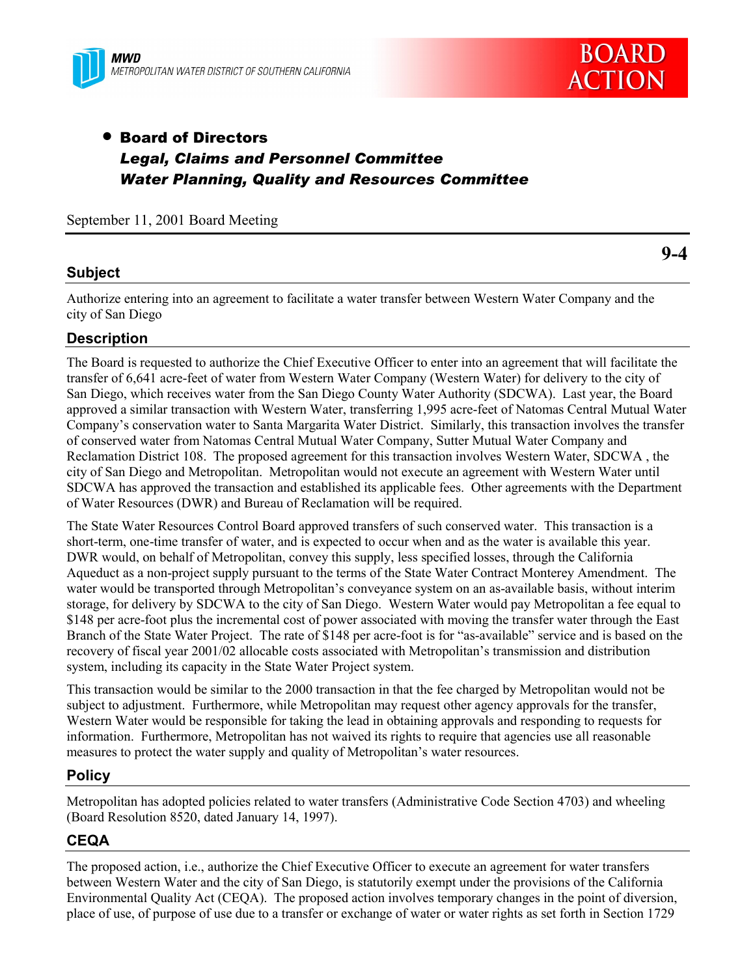



**9-4**

# • Board of Directors *Legal, Claims and Personnel Committee Water Planning, Quality and Resources Committee*

September 11, 2001 Board Meeting

## **Subject**

Authorize entering into an agreement to facilitate a water transfer between Western Water Company and the city of San Diego

# **Description**

The Board is requested to authorize the Chief Executive Officer to enter into an agreement that will facilitate the transfer of 6,641 acre-feet of water from Western Water Company (Western Water) for delivery to the city of San Diego, which receives water from the San Diego County Water Authority (SDCWA). Last year, the Board approved a similar transaction with Western Water, transferring 1,995 acre-feet of Natomas Central Mutual Water Companyís conservation water to Santa Margarita Water District. Similarly, this transaction involves the transfer of conserved water from Natomas Central Mutual Water Company, Sutter Mutual Water Company and Reclamation District 108. The proposed agreement for this transaction involves Western Water, SDCWA , the city of San Diego and Metropolitan. Metropolitan would not execute an agreement with Western Water until SDCWA has approved the transaction and established its applicable fees. Other agreements with the Department of Water Resources (DWR) and Bureau of Reclamation will be required.

The State Water Resources Control Board approved transfers of such conserved water. This transaction is a short-term, one-time transfer of water, and is expected to occur when and as the water is available this year. DWR would, on behalf of Metropolitan, convey this supply, less specified losses, through the California Aqueduct as a non-project supply pursuant to the terms of the State Water Contract Monterey Amendment. The water would be transported through Metropolitan's conveyance system on an as-available basis, without interim storage, for delivery by SDCWA to the city of San Diego. Western Water would pay Metropolitan a fee equal to \$148 per acre-foot plus the incremental cost of power associated with moving the transfer water through the East Branch of the State Water Project. The rate of \$148 per acre-foot is for "as-available" service and is based on the recovery of fiscal year 2001/02 allocable costs associated with Metropolitan's transmission and distribution system, including its capacity in the State Water Project system.

This transaction would be similar to the 2000 transaction in that the fee charged by Metropolitan would not be subject to adjustment. Furthermore, while Metropolitan may request other agency approvals for the transfer, Western Water would be responsible for taking the lead in obtaining approvals and responding to requests for information. Furthermore, Metropolitan has not waived its rights to require that agencies use all reasonable measures to protect the water supply and quality of Metropolitan's water resources.

#### **Policy**

Metropolitan has adopted policies related to water transfers (Administrative Code Section 4703) and wheeling (Board Resolution 8520, dated January 14, 1997).

## **CEQA**

The proposed action, i.e., authorize the Chief Executive Officer to execute an agreement for water transfers between Western Water and the city of San Diego, is statutorily exempt under the provisions of the California Environmental Quality Act (CEQA). The proposed action involves temporary changes in the point of diversion, place of use, of purpose of use due to a transfer or exchange of water or water rights as set forth in Section 1729